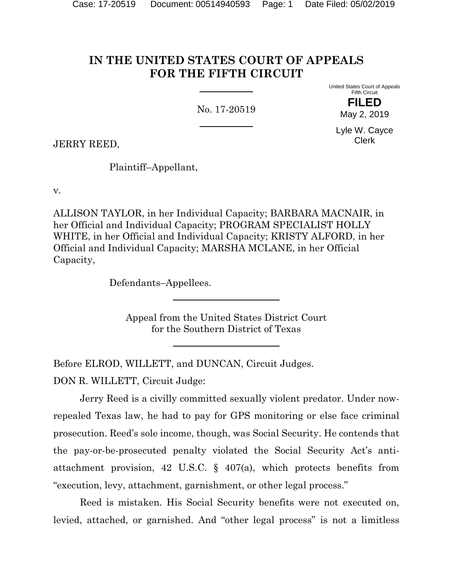# **IN THE UNITED STATES COURT OF APPEALS FOR THE FIFTH CIRCUIT**

No. 17-20519

United States Court of Appeals Fifth Circuit

> **FILED** May 2, 2019

Lyle W. Cayce Clerk

JERRY REED,

Plaintiff–Appellant,

v.

ALLISON TAYLOR, in her Individual Capacity; BARBARA MACNAIR, in her Official and Individual Capacity; PROGRAM SPECIALIST HOLLY WHITE, in her Official and Individual Capacity; KRISTY ALFORD, in her Official and Individual Capacity; MARSHA MCLANE, in her Official Capacity,

Defendants–Appellees.

Appeal from the United States District Court for the Southern District of Texas

Before ELROD, WILLETT, and DUNCAN, Circuit Judges.

DON R. WILLETT, Circuit Judge:

Jerry Reed is a civilly committed sexually violent predator. Under nowrepealed Texas law, he had to pay for GPS monitoring or else face criminal prosecution. Reed's sole income, though, was Social Security. He contends that the pay-or-be-prosecuted penalty violated the Social Security Act's antiattachment provision, 42 U.S.C. § 407(a), which protects benefits from "execution, levy, attachment, garnishment, or other legal process."

Reed is mistaken. His Social Security benefits were not executed on, levied, attached, or garnished. And "other legal process" is not a limitless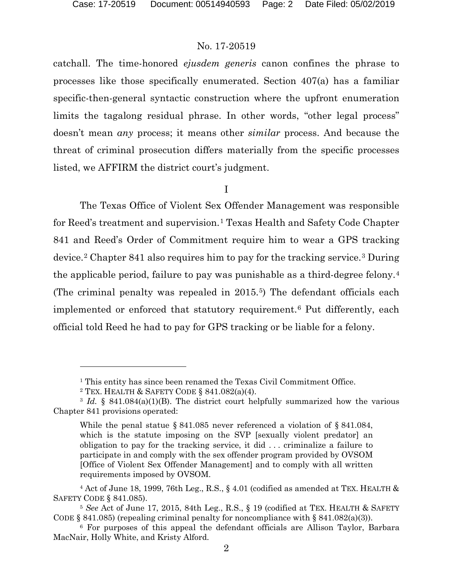catchall. The time-honored *ejusdem generis* canon confines the phrase to processes like those specifically enumerated. Section 407(a) has a familiar specific-then-general syntactic construction where the upfront enumeration limits the tagalong residual phrase. In other words, "other legal process" doesn't mean *any* process; it means other *similar* process. And because the threat of criminal prosecution differs materially from the specific processes listed, we AFFIRM the district court's judgment.

I

The Texas Office of Violent Sex Offender Management was responsible for Reed's treatment and supervision.[1](#page-1-0) Texas Health and Safety Code Chapter 841 and Reed's Order of Commitment require him to wear a GPS tracking device.[2](#page-1-1) Chapter 841 also requires him to pay for the tracking service.[3](#page-1-2) During the applicable period, failure to pay was punishable as a third-degree felony.[4](#page-1-3) (The criminal penalty was repealed in 2015.[5\)](#page-1-4) The defendant officials each implemented or enforced that statutory requirement.[6](#page-1-5) Put differently, each official told Reed he had to pay for GPS tracking or be liable for a felony.

l

<sup>&</sup>lt;sup>1</sup> This entity has since been renamed the Texas Civil Commitment Office.

<sup>&</sup>lt;sup>2</sup> TEX. HEALTH & SAFETY CODE § 841.082(a)(4).

<span id="page-1-2"></span><span id="page-1-1"></span><span id="page-1-0"></span><sup>&</sup>lt;sup>3</sup> *Id.* § 841.084(a)(1)(B). The district court helpfully summarized how the various Chapter 841 provisions operated:

While the penal statue § 841.085 never referenced a violation of § 841.084, which is the statute imposing on the SVP [sexually violent predator] an obligation to pay for the tracking service, it did . . . criminalize a failure to participate in and comply with the sex offender program provided by OVSOM [Office of Violent Sex Offender Management] and to comply with all written requirements imposed by OVSOM.

<span id="page-1-3"></span> $4$  Act of June 18, 1999, 76th Leg., R.S., § 4.01 (codified as amended at TEX. HEALTH  $\&$ SAFETY CODE § 841.085).

<span id="page-1-4"></span><sup>5</sup> *See* Act of June 17, 2015, 84th Leg., R.S., § 19 (codified at TEX. HEALTH & SAFETY CODE  $\S$  841.085) (repealing criminal penalty for noncompliance with  $\S$  841.082(a)(3)).

<span id="page-1-5"></span><sup>6</sup> For purposes of this appeal the defendant officials are Allison Taylor, Barbara MacNair, Holly White, and Kristy Alford.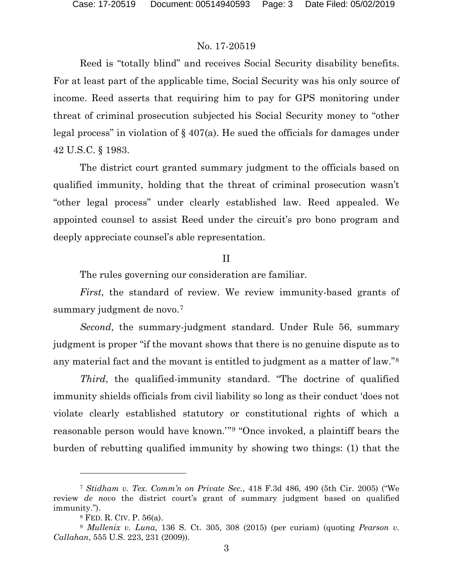Reed is "totally blind" and receives Social Security disability benefits. For at least part of the applicable time, Social Security was his only source of income. Reed asserts that requiring him to pay for GPS monitoring under threat of criminal prosecution subjected his Social Security money to "other legal process" in violation of  $\S$  407(a). He sued the officials for damages under 42 U.S.C. § 1983.

The district court granted summary judgment to the officials based on qualified immunity, holding that the threat of criminal prosecution wasn't "other legal process" under clearly established law. Reed appealed. We appointed counsel to assist Reed under the circuit's pro bono program and deeply appreciate counsel's able representation.

#### II

The rules governing our consideration are familiar.

*First*, the standard of review. We review immunity-based grants of summary judgment de novo.<sup>[7](#page-2-0)</sup>

*Second*, the summary-judgment standard. Under Rule 56, summary judgment is proper "if the movant shows that there is no genuine dispute as to any material fact and the movant is entitled to judgment as a matter of law."[8](#page-2-1)

*Third*, the qualified-immunity standard. "The doctrine of qualified immunity shields officials from civil liability so long as their conduct 'does not violate clearly established statutory or constitutional rights of which a reasonable person would have known.'"[9](#page-2-2) "Once invoked, a plaintiff bears the burden of rebutting qualified immunity by showing two things: (1) that the

<span id="page-2-0"></span><sup>7</sup> *Stidham v. Tex. Comm'n on Private Sec.*, 418 F.3d 486, 490 (5th Cir. 2005) ("We review *de novo* the district court's grant of summary judgment based on qualified immunity.").

<sup>8</sup> FED. R. CIV. P. 56(a).

<span id="page-2-2"></span><span id="page-2-1"></span><sup>9</sup> *Mullenix v. Luna*, 136 S. Ct. 305, 308 (2015) (per curiam) (quoting *Pearson v. Callahan*, 555 U.S. 223, 231 (2009)).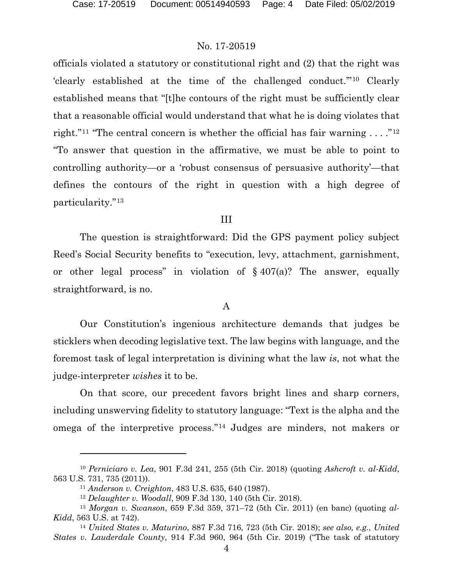officials violated a statutory or constitutional right and (2) that the right was 'clearly established at the time of the challenged conduct.'"[10](#page-3-0) Clearly established means that "[t]he contours of the right must be sufficiently clear that a reasonable official would understand that what he is doing violates that right."<sup>[11](#page-3-1)</sup> "The central concern is whether the official has fair warning . . . ."<sup>[12](#page-3-2)</sup> "To answer that question in the affirmative, we must be able to point to controlling authority—or a 'robust consensus of persuasive authority'—that defines the contours of the right in question with a high degree of particularity."[13](#page-3-3)

#### III

The question is straightforward: Did the GPS payment policy subject Reed's Social Security benefits to "execution, levy, attachment, garnishment, or other legal process" in violation of  $\S 407(a)$ ? The answer, equally straightforward, is no.

## A

Our Constitution's ingenious architecture demands that judges be sticklers when decoding legislative text. The law begins with language, and the foremost task of legal interpretation is divining what the law *is*, not what the judge-interpreter *wishes* it to be.

On that score, our precedent favors bright lines and sharp corners, including unswerving fidelity to statutory language: "Text is the alpha and the omega of the interpretive process."[14](#page-3-4) Judges are minders, not makers or

l

<span id="page-3-0"></span><sup>10</sup> *Perniciaro v. Lea*, 901 F.3d 241, 255 (5th Cir. 2018) (quoting *Ashcroft v. al-Kidd*, 563 U.S. 731, 735 (2011)).

<sup>11</sup> *Anderson v. Creighton*, 483 U.S. 635, 640 (1987).

<sup>12</sup> *Delaughter v. Woodall*, 909 F.3d 130, 140 (5th Cir. 2018).

<span id="page-3-3"></span><span id="page-3-2"></span><span id="page-3-1"></span><sup>13</sup> *Morgan v. Swanson*, 659 F.3d 359, 371–72 (5th Cir. 2011) (en banc) (quoting *al-Kidd*, 563 U.S. at 742).

<span id="page-3-4"></span><sup>14</sup> *United States v. Maturino*, 887 F.3d 716, 723 (5th Cir. 2018); *see also, e.g.*, *United States v. Lauderdale County*, 914 F.3d 960, 964 (5th Cir. 2019) ("The task of statutory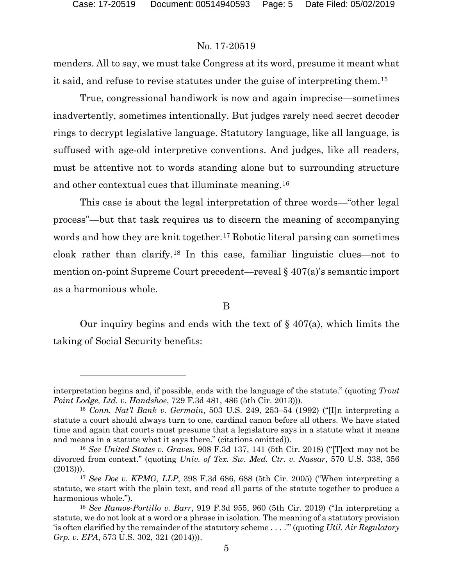l

### No. 17-20519

menders. All to say, we must take Congress at its word, presume it meant what it said, and refuse to revise statutes under the guise of interpreting them.[15](#page-4-0)

True, congressional handiwork is now and again imprecise—sometimes inadvertently, sometimes intentionally. But judges rarely need secret decoder rings to decrypt legislative language. Statutory language, like all language, is suffused with age-old interpretive conventions. And judges, like all readers, must be attentive not to words standing alone but to surrounding structure and other contextual cues that illuminate meaning.[16](#page-4-1)

This case is about the legal interpretation of three words—"other legal process"—but that task requires us to discern the meaning of accompanying words and how they are knit together.<sup>[17](#page-4-2)</sup> Robotic literal parsing can sometimes cloak rather than clarify.[18](#page-4-3) In this case, familiar linguistic clues—not to mention on-point Supreme Court precedent—reveal § 407(a)'s semantic import as a harmonious whole.

B

Our inquiry begins and ends with the text of  $\S$  407(a), which limits the taking of Social Security benefits:

interpretation begins and, if possible, ends with the language of the statute." (quoting *Trout Point Lodge, Ltd. v. Handshoe*, 729 F.3d 481, 486 (5th Cir. 2013))).

<span id="page-4-0"></span><sup>15</sup> *Conn. Nat'l Bank v. Germain*, 503 U.S. 249, 253–54 (1992) ("[I]n interpreting a statute a court should always turn to one, cardinal canon before all others. We have stated time and again that courts must presume that a legislature says in a statute what it means and means in a statute what it says there." (citations omitted)).

<span id="page-4-1"></span><sup>16</sup> *See United States v. Graves*, 908 F.3d 137, 141 (5th Cir. 2018) ("[T]ext may not be divorced from context." (quoting *Univ. of Tex. Sw. Med. Ctr. v. Nassar*, 570 U.S. 338, 356 (2013))).

<span id="page-4-2"></span><sup>17</sup> *See Doe v. KPMG, LLP*, 398 F.3d 686, 688 (5th Cir. 2005) ("When interpreting a statute, we start with the plain text, and read all parts of the statute together to produce a harmonious whole.").

<span id="page-4-3"></span><sup>18</sup> *See Ramos-Portillo v. Barr*, 919 F.3d 955, 960 (5th Cir. 2019) ("In interpreting a statute, we do not look at a word or a phrase in isolation. The meaning of a statutory provision 'is often clarified by the remainder of the statutory scheme . . . .'" (quoting *Util. Air Regulatory Grp. v. EPA*, 573 U.S. 302, 321 (2014))).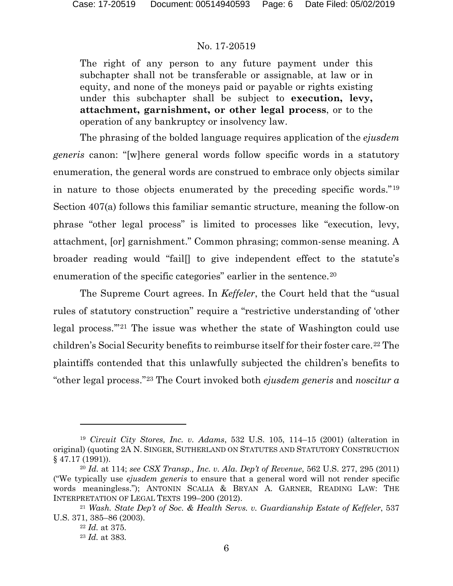The right of any person to any future payment under this subchapter shall not be transferable or assignable, at law or in equity, and none of the moneys paid or payable or rights existing under this subchapter shall be subject to **execution, levy, attachment, garnishment, or other legal process**, or to the operation of any bankruptcy or insolvency law.

The phrasing of the bolded language requires application of the *ejusdem generis* canon: "[w]here general words follow specific words in a statutory enumeration, the general words are construed to embrace only objects similar in nature to those objects enumerated by the preceding specific words."[19](#page-5-0) Section 407(a) follows this familiar semantic structure, meaning the follow-on phrase "other legal process" is limited to processes like "execution, levy, attachment, [or] garnishment." Common phrasing; common-sense meaning. A broader reading would "fail[] to give independent effect to the statute's enumeration of the specific categories" earlier in the sentence.<sup>[20](#page-5-1)</sup>

The Supreme Court agrees. In *Keffeler*, the Court held that the "usual rules of statutory construction" require a "restrictive understanding of 'other legal process.'"[21](#page-5-2) The issue was whether the state of Washington could use children's Social Security benefits to reimburse itself for their foster care.<sup>[22](#page-5-3)</sup> The plaintiffs contended that this unlawfully subjected the children's benefits to "other legal process."[23](#page-5-4) The Court invoked both *ejusdem generis* and *noscitur a* 

<span id="page-5-0"></span><sup>19</sup> *Circuit City Stores, Inc. v. Adams*, 532 U.S. 105, 114–15 (2001) (alteration in original) (quoting 2A N. SINGER, SUTHERLAND ON STATUTES AND STATUTORY CONSTRUCTION § 47.17 (1991)).

<span id="page-5-1"></span><sup>20</sup> *Id.* at 114; *see CSX Transp., Inc. v. Ala. Dep't of Revenue*, 562 U.S. 277, 295 (2011) ("We typically use *ejusdem generis* to ensure that a general word will not render specific words meaningless."); ANTONIN SCALIA & BRYAN A. GARNER, READING LAW: THE INTERPRETATION OF LEGAL TEXTS 199–200 (2012).

<span id="page-5-4"></span><span id="page-5-3"></span><span id="page-5-2"></span><sup>21</sup> *Wash. State Dep't of Soc. & Health Servs. v. Guardianship Estate of Keffeler*, 537 U.S. 371, 385–86 (2003).

<sup>22</sup> *Id.* at 375.

<sup>23</sup> *Id.* at 383.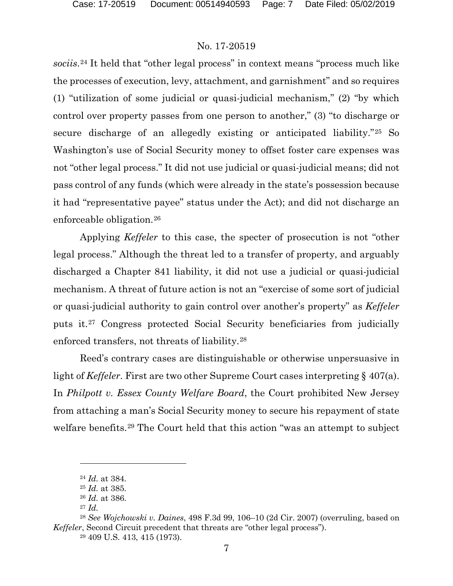*sociis*.[24](#page-6-0) It held that "other legal process" in context means "process much like the processes of execution, levy, attachment, and garnishment" and so requires (1) "utilization of some judicial or quasi-judicial mechanism," (2) "by which control over property passes from one person to another," (3) "to discharge or secure discharge of an allegedly existing or anticipated liability."[25](#page-6-1) So Washington's use of Social Security money to offset foster care expenses was not "other legal process." It did not use judicial or quasi-judicial means; did not pass control of any funds (which were already in the state's possession because it had "representative payee" status under the Act); and did not discharge an enforceable obligation.[26](#page-6-2)

Applying *Keffeler* to this case, the specter of prosecution is not "other legal process." Although the threat led to a transfer of property, and arguably discharged a Chapter 841 liability, it did not use a judicial or quasi-judicial mechanism. A threat of future action is not an "exercise of some sort of judicial or quasi-judicial authority to gain control over another's property" as *Keffeler* puts it.[27](#page-6-3) Congress protected Social Security beneficiaries from judicially enforced transfers, not threats of liability.[28](#page-6-4)

Reed's contrary cases are distinguishable or otherwise unpersuasive in light of *Keffeler*. First are two other Supreme Court cases interpreting § 407(a). In *Philpott v. Essex County Welfare Board*, the Court prohibited New Jersey from attaching a man's Social Security money to secure his repayment of state welfare benefits.[29](#page-6-5) The Court held that this action "was an attempt to subject

<sup>24</sup> *Id.* at 384.

<sup>25</sup> *Id.* at 385.

<sup>26</sup> *Id.* at 386.

<sup>27</sup> *Id.*

<span id="page-6-5"></span><span id="page-6-4"></span><span id="page-6-3"></span><span id="page-6-2"></span><span id="page-6-1"></span><span id="page-6-0"></span><sup>28</sup> *See Wojchowski v. Daines*, 498 F.3d 99, 106–10 (2d Cir. 2007) (overruling, based on *Keffeler*, Second Circuit precedent that threats are "other legal process").

<sup>29</sup> 409 U.S. 413, 415 (1973).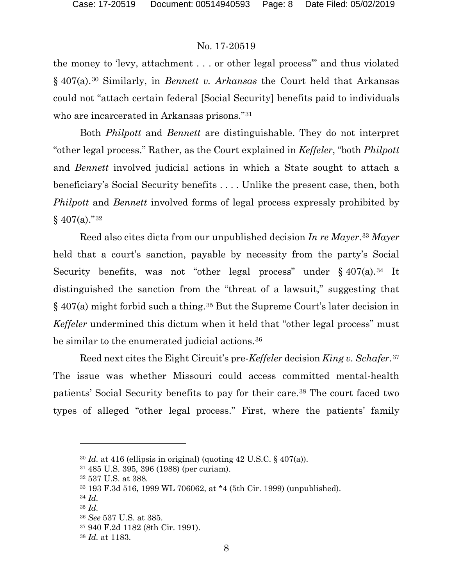the money to 'levy, attachment . . . or other legal process'" and thus violated § 407(a).[30](#page-7-0) Similarly, in *Bennett v. Arkansas* the Court held that Arkansas could not "attach certain federal [Social Security] benefits paid to individuals who are incarcerated in Arkansas prisons."[31](#page-7-1)

Both *Philpott* and *Bennett* are distinguishable. They do not interpret "other legal process." Rather, as the Court explained in *Keffeler*, "both *Philpott* and *Bennett* involved judicial actions in which a State sought to attach a beneficiary's Social Security benefits . . . . Unlike the present case, then, both *Philpott* and *Bennett* involved forms of legal process expressly prohibited by  $§$  407(a)."<sup>[32](#page-7-2)</sup>

Reed also cites dicta from our unpublished decision *In re Mayer*.[33](#page-7-3) *Mayer*  held that a court's sanction, payable by necessity from the party's Social Security benefits, was not "other legal process" under § 407(a).<sup>[34](#page-7-4)</sup> It distinguished the sanction from the "threat of a lawsuit," suggesting that § 407(a) might forbid such a thing.[35](#page-7-5) But the Supreme Court's later decision in *Keffeler* undermined this dictum when it held that "other legal process" must be similar to the enumerated judicial actions.<sup>[36](#page-7-6)</sup>

Reed next cites the Eight Circuit's pre-*Keffeler* decision *King v. Schafer*.[37](#page-7-7) The issue was whether Missouri could access committed mental-health patients' Social Security benefits to pay for their care.[38](#page-7-8) The court faced two types of alleged "other legal process." First, where the patients' family

l

<span id="page-7-0"></span> $30$  *Id.* at 416 (ellipsis in original) (quoting 42 U.S.C. § 407(a)).

<span id="page-7-1"></span><sup>31</sup> 485 U.S. 395, 396 (1988) (per curiam).

<span id="page-7-2"></span><sup>32</sup> 537 U.S. at 388.

<span id="page-7-3"></span><sup>33</sup> 193 F.3d 516, 1999 WL 706062, at \*4 (5th Cir. 1999) (unpublished).

<sup>34</sup> *Id.*

<span id="page-7-6"></span><span id="page-7-5"></span><span id="page-7-4"></span><sup>35</sup> *Id.*

<sup>36</sup> *See* 537 U.S. at 385.

<span id="page-7-7"></span><sup>37</sup> 940 F.2d 1182 (8th Cir. 1991).

<span id="page-7-8"></span><sup>38</sup> *Id.* at 1183.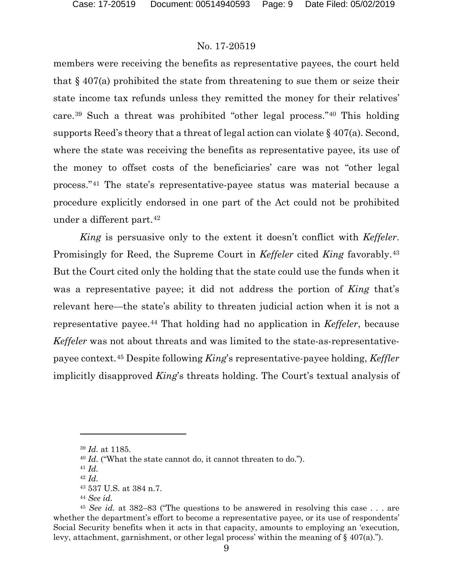members were receiving the benefits as representative payees, the court held that  $\S 407(a)$  prohibited the state from threatening to sue them or seize their state income tax refunds unless they remitted the money for their relatives' care.[39](#page-8-0) Such a threat was prohibited "other legal process."[40](#page-8-1) This holding supports Reed's theory that a threat of legal action can violate § 407(a). Second, where the state was receiving the benefits as representative payee, its use of the money to offset costs of the beneficiaries' care was not "other legal process."[41](#page-8-2) The state's representative-payee status was material because a procedure explicitly endorsed in one part of the Act could not be prohibited under a different part.[42](#page-8-3)

*King* is persuasive only to the extent it doesn't conflict with *Keffeler*. Promisingly for Reed, the Supreme Court in *Keffeler* cited *King* favorably.[43](#page-8-4) But the Court cited only the holding that the state could use the funds when it was a representative payee; it did not address the portion of *King* that's relevant here—the state's ability to threaten judicial action when it is not a representative payee.[44](#page-8-5) That holding had no application in *Keffeler*, because *Keffeler* was not about threats and was limited to the state-as-representativepayee context.[45](#page-8-6) Despite following *King*'s representative-payee holding, *Keffler* implicitly disapproved *King*'s threats holding. The Court's textual analysis of

<span id="page-8-0"></span><sup>39</sup> *Id.* at 1185.

<sup>40</sup> *Id.* ("What the state cannot do, it cannot threaten to do.").

<sup>41</sup> *Id.*

<sup>42</sup> *Id.*

<sup>43</sup> 537 U.S. at 384 n.7.

<sup>44</sup> *See id.*

<span id="page-8-6"></span><span id="page-8-5"></span><span id="page-8-4"></span><span id="page-8-3"></span><span id="page-8-2"></span><span id="page-8-1"></span><sup>45</sup> *See id.* at 382–83 ("The questions to be answered in resolving this case . . . are whether the department's effort to become a representative payee, or its use of respondents' Social Security benefits when it acts in that capacity, amounts to employing an 'execution, levy, attachment, garnishment, or other legal process' within the meaning of  $\S$  407(a).").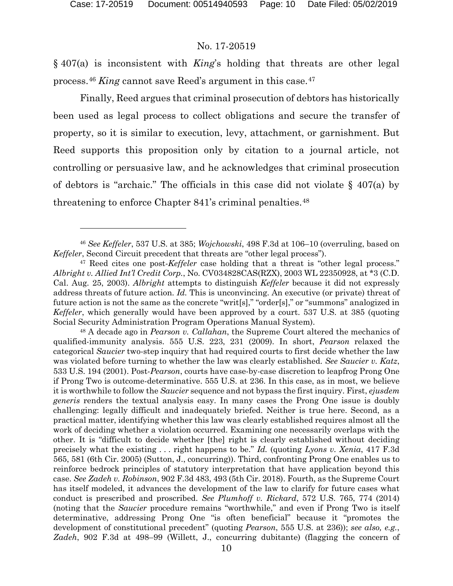l

#### No. 17-20519

§ 407(a) is inconsistent with *King*'s holding that threats are other legal process.[46](#page-9-0) *King* cannot save Reed's argument in this case.[47](#page-9-1)

Finally, Reed argues that criminal prosecution of debtors has historically been used as legal process to collect obligations and secure the transfer of property, so it is similar to execution, levy, attachment, or garnishment. But Reed supports this proposition only by citation to a journal article, not controlling or persuasive law, and he acknowledges that criminal prosecution of debtors is "archaic." The officials in this case did not violate § 407(a) by threatening to enforce Chapter 841's criminal penalties.[48](#page-9-2)

<span id="page-9-0"></span><sup>46</sup> *See Keffeler*, 537 U.S. at 385; *Wojchowski*, 498 F.3d at 106–10 (overruling, based on *Keffeler*, Second Circuit precedent that threats are "other legal process").

<span id="page-9-1"></span><sup>47</sup> Reed cites one post-*Keffeler* case holding that a threat is "other legal process." *Albright v. Allied Int'l Credit Corp.*, No. CV034828CAS(RZX), 2003 WL 22350928, at \*3 (C.D. Cal. Aug. 25, 2003). *Albright* attempts to distinguish *Keffeler* because it did not expressly address threats of future action. *Id.* This is unconvincing. An executive (or private) threat of future action is not the same as the concrete "writ[s]," "order[s]," or "summons" analogized in *Keffeler*, which generally would have been approved by a court. 537 U.S. at 385 (quoting Social Security Administration Program Operations Manual System).

<span id="page-9-2"></span><sup>48</sup> A decade ago in *Pearson v. Callahan*, the Supreme Court altered the mechanics of qualified-immunity analysis. 555 U.S. 223, 231 (2009). In short, *Pearson* relaxed the categorical *Saucier* two-step inquiry that had required courts to first decide whether the law was violated before turning to whether the law was clearly established. *See Saucier v. Katz*, 533 U.S. 194 (2001). Post-*Pearson*, courts have case-by-case discretion to leapfrog Prong One if Prong Two is outcome-determinative. 555 U.S. at 236. In this case, as in most, we believe it is worthwhile to follow the *Saucier* sequence and not bypass the first inquiry. First, *ejusdem generis* renders the textual analysis easy. In many cases the Prong One issue is doubly challenging: legally difficult and inadequately briefed. Neither is true here. Second, as a practical matter, identifying whether this law was clearly established requires almost all the work of deciding whether a violation occurred. Examining one necessarily overlaps with the other. It is "difficult to decide whether [the] right is clearly established without deciding precisely what the existing . . . right happens to be." *Id.* (quoting *Lyons v. Xenia*, 417 F.3d 565, 581 (6th Cir. 2005) (Sutton, J., concurring)). Third, confronting Prong One enables us to reinforce bedrock principles of statutory interpretation that have application beyond this case. *See Zadeh v. Robinson*, 902 F.3d 483, 493 (5th Cir. 2018). Fourth, as the Supreme Court has itself modeled, it advances the development of the law to clarify for future cases what conduct is prescribed and proscribed. *See Plumhoff v. Rickard*, 572 U.S. 765, 774 (2014) (noting that the *Saucier* procedure remains "worthwhile," and even if Prong Two is itself determinative, addressing Prong One "is often beneficial" because it "promotes the development of constitutional precedent" (quoting *Pearson*, 555 U.S. at 236)); *see also, e.g.*, *Zadeh*, 902 F.3d at 498–99 (Willett, J., concurring dubitante) (flagging the concern of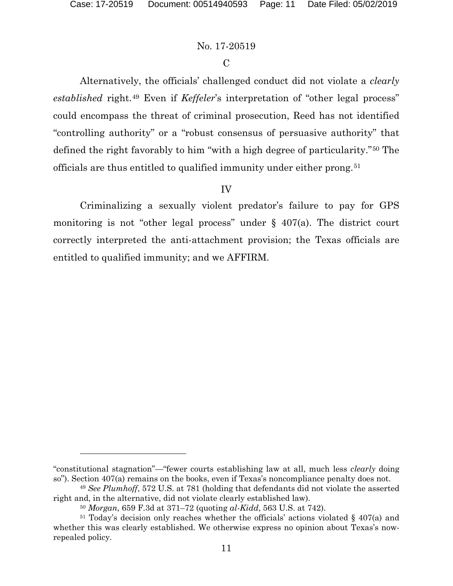$\overline{a}$ 

## No. 17-20519

## $\overline{C}$

Alternatively, the officials' challenged conduct did not violate a *clearly established* right.[49](#page-10-0) Even if *Keffeler*'s interpretation of "other legal process" could encompass the threat of criminal prosecution, Reed has not identified "controlling authority" or a "robust consensus of persuasive authority" that defined the right favorably to him "with a high degree of particularity."[50](#page-10-1) The officials are thus entitled to qualified immunity under either prong.[51](#page-10-2)

# IV

Criminalizing a sexually violent predator's failure to pay for GPS monitoring is not "other legal process" under  $\S$  407(a). The district court correctly interpreted the anti-attachment provision; the Texas officials are entitled to qualified immunity; and we AFFIRM.

<sup>&</sup>quot;constitutional stagnation"—"fewer courts establishing law at all, much less *clearly* doing so"). Section 407(a) remains on the books, even if Texas's noncompliance penalty does not.

<span id="page-10-0"></span><sup>49</sup> *See Plumhoff*, 572 U.S. at 781 (holding that defendants did not violate the asserted right and, in the alternative, did not violate clearly established law).

<sup>50</sup> *Morgan*, 659 F.3d at 371–72 (quoting *al-Kidd*, 563 U.S. at 742).

<span id="page-10-2"></span><span id="page-10-1"></span><sup>&</sup>lt;sup>51</sup> Today's decision only reaches whether the officials' actions violated  $\S$  407(a) and whether this was clearly established. We otherwise express no opinion about Texas's nowrepealed policy.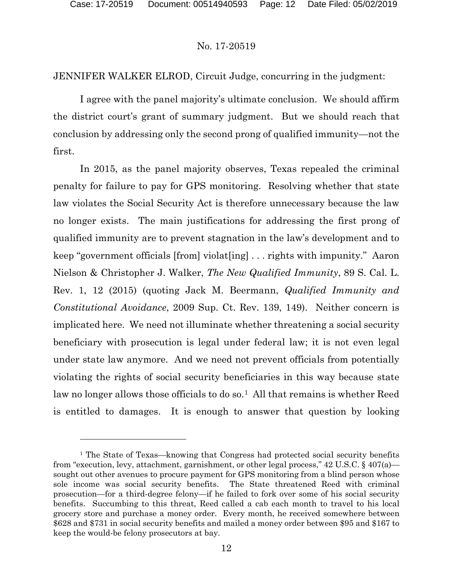$\overline{a}$ 

# No. 17-20519

JENNIFER WALKER ELROD, Circuit Judge, concurring in the judgment:

I agree with the panel majority's ultimate conclusion. We should affirm the district court's grant of summary judgment. But we should reach that conclusion by addressing only the second prong of qualified immunity—not the first.

In 2015, as the panel majority observes, Texas repealed the criminal penalty for failure to pay for GPS monitoring. Resolving whether that state law violates the Social Security Act is therefore unnecessary because the law no longer exists. The main justifications for addressing the first prong of qualified immunity are to prevent stagnation in the law's development and to keep "government officials [from] violat[ing] . . . rights with impunity." Aaron Nielson & Christopher J. Walker, *The New Qualified Immunity*, 89 S. Cal. L. Rev. 1, 12 (2015) (quoting Jack M. Beermann, *Qualified Immunity and Constitutional Avoidance*, 2009 Sup. Ct. Rev. 139, 149). Neither concern is implicated here. We need not illuminate whether threatening a social security beneficiary with prosecution is legal under federal law; it is not even legal under state law anymore. And we need not prevent officials from potentially violating the rights of social security beneficiaries in this way because state law no longer allows those officials to do so.<sup>[1](#page-11-0)</sup> All that remains is whether Reed is entitled to damages. It is enough to answer that question by looking

<span id="page-11-0"></span><sup>&</sup>lt;sup>1</sup> The State of Texas—knowing that Congress had protected social security benefits from "execution, levy, attachment, garnishment, or other legal process," 42 U.S.C. § 407(a) sought out other avenues to procure payment for GPS monitoring from a blind person whose sole income was social security benefits. The State threatened Reed with criminal prosecution—for a third-degree felony—if he failed to fork over some of his social security benefits. Succumbing to this threat, Reed called a cab each month to travel to his local grocery store and purchase a money order. Every month, he received somewhere between \$628 and \$731 in social security benefits and mailed a money order between \$95 and \$167 to keep the would-be felony prosecutors at bay.